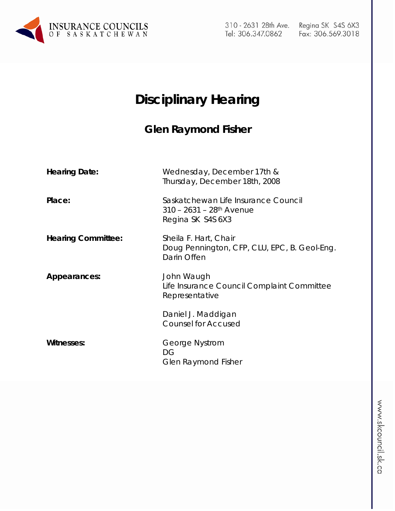

310 - 2631 28th Ave. Tel: 306.347.0862

# **Disciplinary Hearing**

## **Glen Raymond Fisher**

| <b>Hearing Date:</b>      | Wednesday, December 17th &<br>Thursday, December 18th, 2008                                        |
|---------------------------|----------------------------------------------------------------------------------------------------|
| Place:                    | Saskatchewan Life Insurance Council<br>$310 - 2631 - 28$ <sup>th</sup> Avenue<br>Regina SK S4S 6X3 |
| <b>Hearing Committee:</b> | Sheila F. Hart, Chair<br>Doug Pennington, CFP, CLU, EPC, B. Geol-Eng.<br>Darin Offen               |
| Appearances:              | John Waugh<br>Life Insurance Council Complaint Committee<br>Representative                         |
|                           | Daniel J. Maddigan<br><b>Counsel for Accused</b>                                                   |
| <b>Witnesses:</b>         | George Nystrom<br>DG<br><b>Glen Raymond Fisher</b>                                                 |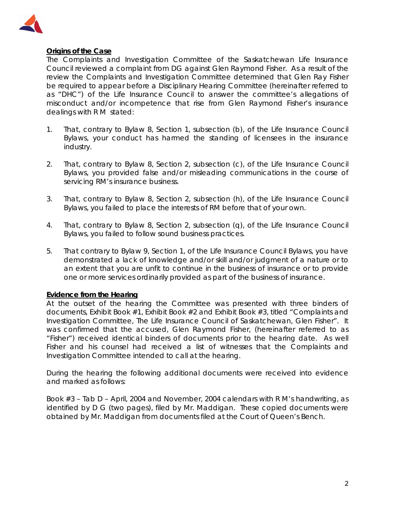

## **Origins of the Case**

The Complaints and Investigation Committee of the Saskatchewan Life Insurance Council reviewed a complaint from DG against Glen Raymond Fisher. As a result of the review the Complaints and Investigation Committee determined that Glen Ray Fisher be required to appear before a Disciplinary Hearing Committee (hereinafter referred to as "DHC") of the Life Insurance Council to answer the committee's allegations of misconduct and/or incompetence that rise from Glen Raymond Fisher's insurance dealings with R M stated:

- 1. That, contrary to Bylaw 8, Section 1, subsection (b), of the Life Insurance Council Bylaws, your conduct has harmed the standing of licensees in the insurance industry.
- 2. That, contrary to Bylaw 8, Section 2, subsection (c), of the Life Insurance Council Bylaws, you provided false and/or misleading communications in the course of servicing RM's insurance business.
- 3. That, contrary to Bylaw 8, Section 2, subsection (h), of the Life Insurance Council Bylaws, you failed to place the interests of RM before that of your own.
- 4. That, contrary to Bylaw 8, Section 2, subsection (q), of the Life Insurance Council Bylaws, you failed to follow sound business practices.
- 5. That contrary to Bylaw 9, Section 1, of the Life Insurance Council Bylaws, you have demonstrated a lack of knowledge and/or skill and/or judgment of a nature or to an extent that you are unfit to continue in the business of insurance or to provide one or more services ordinarily provided as part of the business of insurance.

#### **Evidence from the Hearing**

At the outset of the hearing the Committee was presented with three binders of documents, Exhibit Book #1, Exhibit Book #2 and Exhibit Book #3, titled "Complaints and Investigation Committee, The Life Insurance Council of Saskatchewan, Glen Fisher". It was confirmed that the accused, Glen Raymond Fisher, (hereinafter referred to as "Fisher") received identical binders of documents prior to the hearing date. As well Fisher and his counsel had received a list of witnesses that the Complaints and Investigation Committee intended to call at the hearing.

During the hearing the following additional documents were received into evidence and marked as follows:

Book #3 – Tab D – April, 2004 and November, 2004 calendars with R M's handwriting, as identified by D G (two pages), filed by Mr. Maddigan. These copied documents were obtained by Mr. Maddigan from documents filed at the Court of Queen's Bench.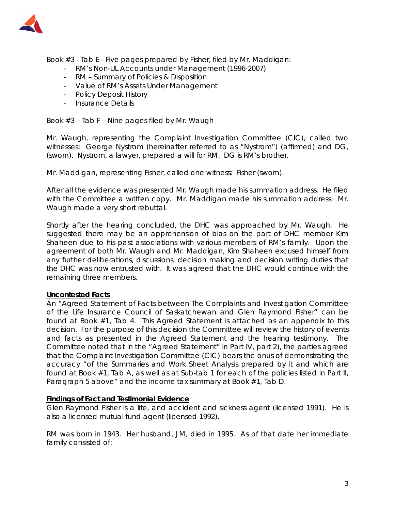

Book #3 - Tab E - Five pages prepared by Fisher, filed by Mr. Maddigan:

- RM's Non-UL Accounts under Management (1996-2007)
- RM Summary of Policies & Disposition
- Value of RM's Assets Under Management
- Policy Deposit History
- Insurance Details

Book #3 – Tab F – Nine pages filed by Mr. Waugh

Mr. Waugh, representing the Complaint Investigation Committee (CIC), called two witnesses: George Nystrom (hereinafter referred to as "Nystrom") (affirmed) and DG, (sworn). Nystrom, a lawyer, prepared a will for RM. DG is RM's brother.

Mr. Maddigan, representing Fisher, called one witness: Fisher (sworn).

After all the evidence was presented Mr. Waugh made his summation address. He filed with the Committee a written copy. Mr. Maddigan made his summation address. Mr. Waugh made a very short rebuttal.

Shortly after the hearing concluded, the DHC was approached by Mr. Waugh. He suggested there may be an apprehension of bias on the part of DHC member Kim Shaheen due to his past associations with various members of RM's family. Upon the agreement of both Mr. Waugh and Mr. Maddigan, Kim Shaheen excused himself from any further deliberations, discussions, decision making and decision writing duties that the DHC was now entrusted with. It was agreed that the DHC would continue with the remaining three members.

#### **Uncontested Facts**

An "Agreed Statement of Facts between The Complaints and Investigation Committee of the Life Insurance Council of Saskatchewan and Glen Raymond Fisher" can be found at Book #1, Tab 4. This Agreed Statement is attached as an appendix to this decision. For the purpose of this decision the Committee will review the history of events and facts as presented in the Agreed Statement and the hearing testimony. The Committee noted that in the "Agreed Statement" in Part IV, part 2), the parties agreed that the Complaint Investigation Committee (CIC) bears the onus of demonstrating the accuracy "of the Summaries and Work Sheet Analysis prepared by it and which are found at Book #1, Tab A, as well as at Sub-tab 1 for each of the policies listed in Part II, Paragraph 5 above" and the income tax summary at Book #1, Tab D.

#### **Findings of Fact and Testimonial Evidence**

Glen Raymond Fisher is a life, and accident and sickness agent (licensed 1991). He is also a licensed mutual fund agent (licensed 1992).

RM was born in 1943. Her husband, JM, died in 1995. As of that date her immediate family consisted of: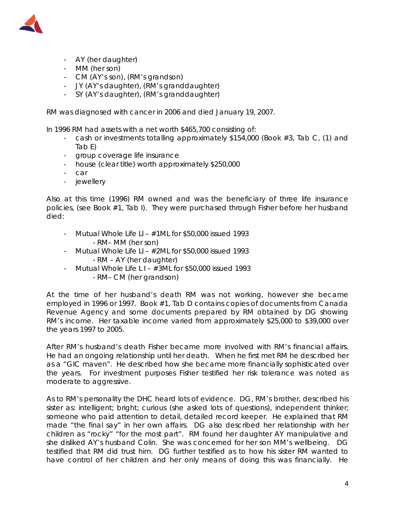

- AY (her daughter)
- MM (her son)
- CM (AY's son), (RM's grandson)
- JY (AY's daughter), (RM's granddaughter)
- SY (AY's daughter), (RM's granddaughter)

RM was diagnosed with cancer in 2006 and died January 19, 2007.

In 1996 RM had assets with a net worth \$465,700 consisting of:

- cash or investments totalling approximately \$154,000 (Book #3, Tab C, (1) and Tab E)
- group coverage life insurance
- house (clear title) worth approximately \$250,000
- car
- jewellery

Also at this time (1996) RM owned and was the beneficiary of three life insurance policies, (see Book #1, Tab I). They were purchased through Fisher before her husband died:

- Mutual Whole Life LI  $\#1ML$  for \$50,000 issued 1993 - RM– MM (her son)
- Mutual Whole Life LI  $#2ML$  for \$50,000 issued 1993 - RM – AY (her daughter)
- Mutual Whole Life L I  $#3ML$  for \$50,000 issued 1993 - RM– CM (her grandson)

At the time of her husband's death RM was not working, however she became employed in 1996 or 1997. Book #1, Tab D contains copies of documents from Canada Revenue Agency and some documents prepared by RM obtained by DG showing RM's income. Her taxable income varied from approximately \$25,000 to \$39,000 over the years 1997 to 2005.

After RM's husband's death Fisher became more involved with RM's financial affairs. He had an ongoing relationship until her death. When he first met RM he described her as a "GIC maven". He described how she became more financially sophisticated over the years. For investment purposes Fisher testified her risk tolerance was noted as moderate to aggressive.

As to RM's personality the DHC heard lots of evidence. DG, RM's brother, described his sister as: intelligent; bright; curious (she asked lots of questions), independent thinker; someone who paid attention to detail, detailed record keeper. He explained that RM made "the final say" in her own affairs. DG also described her relationship with her children as "rocky" "for the most part". RM found her daughter AY manipulative and she disliked AY's husband Colin. She was concerned for her son MM's wellbeing. DG testified that RM did trust him. DG further testified as to how his sister RM wanted to have control of her children and her only means of doing this was financially. He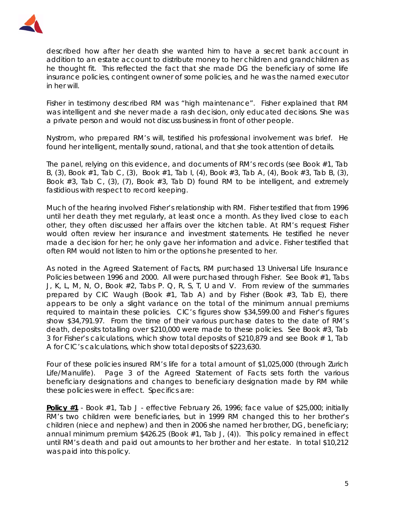

described how after her death she wanted him to have a secret bank account in addition to an estate account to distribute money to her children and grandchildren as he thought fit. This reflected the fact that she made DG the beneficiary of some life insurance policies, contingent owner of some policies, and he was the named executor in her will.

Fisher in testimony described RM was "high maintenance". Fisher explained that RM was intelligent and she never made a rash decision, only educated decisions. She was a private person and would not discuss business in front of other people.

Nystrom, who prepared RM's will, testified his professional involvement was brief. He found her intelligent, mentally sound, rational, and that she took attention of details.

The panel, relying on this evidence, and documents of RM's records (see Book #1, Tab B, (3), Book #1, Tab C, (3), Book #1, Tab I, (4), Book #3, Tab A, (4), Book #3, Tab B, (3), Book  $#3$ , Tab C, (3), (7), Book  $#3$ , Tab D) found RM to be intelligent, and extremely fastidious with respect to record keeping.

Much of the hearing involved Fisher's relationship with RM. Fisher testified that from 1996 until her death they met regularly, at least once a month. As they lived close to each other, they often discussed her affairs over the kitchen table. At RM's request Fisher would often review her insurance and investment statements. He testified he never made a decision for her; he only gave her information and advice. Fisher testified that often RM would not listen to him or the options he presented to her.

As noted in the Agreed Statement of Facts, RM purchased 13 Universal Life Insurance Policies between 1996 and 2000. All were purchased through Fisher. See Book #1, Tabs J, K, L, M, N, O, Book #2, Tabs P. Q, R, S, T, U and V. From review of the summaries prepared by CIC Waugh (Book #1, Tab A) and by Fisher (Book #3, Tab E), there appears to be only a slight variance on the total of the minimum annual premiums required to maintain these policies. CIC's figures show \$34,599.00 and Fisher's figures show \$34,791.97. From the time of their various purchase dates to the date of RM's death, deposits totalling over \$210,000 were made to these policies. See Book #3, Tab 3 for Fisher's calculations, which show total deposits of \$210,879 and see Book # 1, Tab A for CIC's calculations, which show total deposits of \$223,630.

Four of these policies insured RM's life for a total amount of \$1,025,000 (through Zurich Life/Manulife). Page 3 of the Agreed Statement of Facts sets forth the various beneficiary designations and changes to beneficiary designation made by RM while these policies were in effect. Specifics are:

**Policy #1** - Book #1, Tab J - effective February 26, 1996; face value of \$25,000; initially RM's two children were beneficiaries, but in 1999 RM changed this to her brother's children (niece and nephew) and then in 2006 she named her brother, DG, beneficiary; annual minimum premium \$426.25 (Book #1, Tab J, (4)). This policy remained in effect until RM's death and paid out amounts to her brother and her estate. In total \$10,212 was paid into this policy.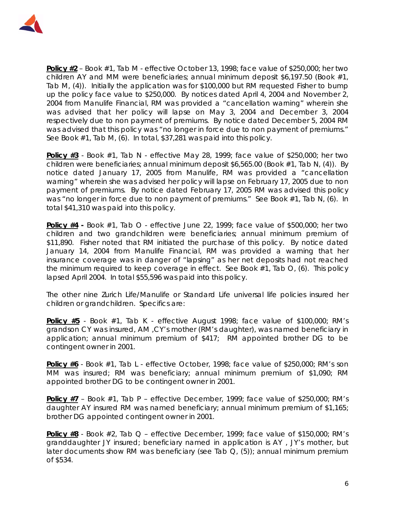

**Policy #2** – Book #1, Tab M - effective October 13, 1998; face value of \$250,000; her two children AY and MM were beneficiaries; annual minimum deposit \$6,197.50 (Book #1, Tab M, (4)). Initially the application was for \$100,000 but RM requested Fisher to bump up the policy face value to \$250,000. By notices dated April 4, 2004 and November 2, 2004 from Manulife Financial, RM was provided a "cancellation warning" wherein she was advised that her policy will lapse on May 3, 2004 and December 3, 2004 respectively due to non payment of premiums. By notice dated December 5, 2004 RM was advised that this policy was "no longer in force due to non payment of premiums." See Book #1, Tab M, (6). In total, \$37,281 was paid into this policy.

**Policy #3** - Book #1, Tab N - effective May 28, 1999; face value of \$250,000; her two children were beneficiaries; annual minimum deposit \$6,565.00 (Book #1, Tab N, (4)). By notice dated January 17, 2005 from Manulife, RM was provided a "cancellation warning" wherein she was advised her policy will lapse on February 17, 2005 due to non payment of premiums. By notice dated February 17, 2005 RM was advised this policy was "no longer in force due to non payment of premiums." See Book #1, Tab N, (6). In total \$41,310 was paid into this policy.

**Policy #4 -** Book #1, Tab O - effective June 22, 1999; face value of \$500,000; her two children and two grandchildren were beneficiaries; annual minimum premium of \$11,890. Fisher noted that RM initiated the purchase of this policy. By notice dated January 14, 2004 from Manulife Financial, RM was provided a warning that her insurance coverage was in danger of "lapsing" as her net deposits had not reached the minimum required to keep coverage in effect. See Book #1, Tab O, (6). This policy lapsed April 2004. In total \$55,596 was paid into this policy.

The other nine Zurich Life/Manulife or Standard Life universal life policies insured her children or grandchildren. Specifics are:

**Policy #5** - Book #1, Tab K - effective August 1998; face value of \$100,000; RM's grandson CY was insured, AM ,CY's mother (RM's daughter), was named beneficiary in application; annual minimum premium of \$417; RM appointed brother DG to be contingent owner in 2001.

**Policy #6** - Book #1, Tab L - effective October, 1998; face value of \$250,000; RM's son MM was insured; RM was beneficiary; annual minimum premium of \$1,090; RM appointed brother DG to be contingent owner in 2001.

**Policy #7** – Book #1, Tab P – effective December, 1999; face value of \$250,000; RM's daughter AY insured RM was named beneficiary; annual minimum premium of \$1,165; brother DG appointed contingent owner in 2001.

**Policy #8** - Book #2, Tab Q – effective December, 1999; face value of \$150,000; RM's granddaughter JY insured; beneficiary named in application is AY , JY's mother, but later documents show RM was beneficiary (see Tab Q, (5)); annual minimum premium of \$534.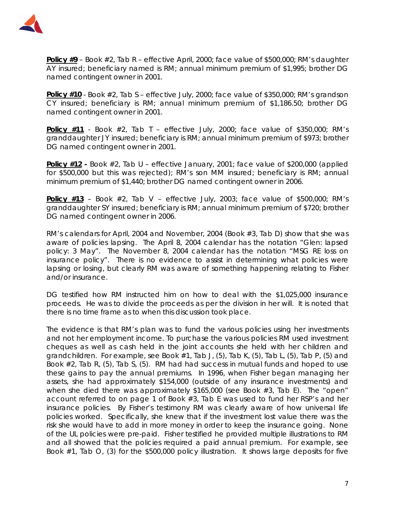

**Policy #9** – Book #2, Tab R – effective April, 2000; face value of \$500,000; RM's daughter AY insured; beneficiary named is RM; annual minimum premium of \$1,995; brother DG named contingent owner in 2001.

**Policy #10** - Book #2, Tab S – effective July, 2000; face value of \$350,000; RM's grandson CY insured; beneficiary is RM; annual minimum premium of \$1,186.50; brother DG named contingent owner in 2001.

**Policy #11** - Book #2, Tab T – effective July, 2000; face value of \$350,000; RM's granddaughter JY insured; beneficiary is RM; annual minimum premium of \$973; brother DG named contingent owner in 2001.

**Policy #12 -** Book #2, Tab U – effective January, 2001; face value of \$200,000 (applied for \$500,000 but this was rejected); RM's son MM insured; beneficiary is RM; annual minimum premium of \$1,440; brother DG named contingent owner in 2006.

**Policy #13** – Book #2, Tab V – effective July, 2003; face value of \$500,000; RM's granddaughter SY insured; beneficiary is RM; annual minimum premium of \$720; brother DG named contingent owner in 2006.

RM's calendars for April, 2004 and November, 2004 (Book #3, Tab D) show that she was aware of policies lapsing. The April 8, 2004 calendar has the notation "Glen: lapsed policy: 3 May". The November 8, 2004 calendar has the notation "MSG RE loss on insurance policy". There is no evidence to assist in determining what policies were lapsing or losing, but clearly RM was aware of something happening relating to Fisher and/or insurance.

DG testified how RM instructed him on how to deal with the \$1,025,000 insurance proceeds. He was to divide the proceeds as per the division in her will. It is noted that there is no time frame as to when this discussion took place.

The evidence is that RM's plan was to fund the various policies using her investments and not her employment income. To purchase the various policies RM used investment cheques as well as cash held in the joint accounts she held with her children and grandchildren. For example, see Book #1, Tab J, (5), Tab K, (5), Tab L, (5), Tab P, (5) and Book #2, Tab R, (5), Tab S, (5). RM had had success in mutual funds and hoped to use these gains to pay the annual premiums. In 1996, when Fisher began managing her assets, she had approximately \$154,000 (outside of any insurance investments) and when she died there was approximately \$165,000 (see Book #3, Tab E). The "open" account referred to on page 1 of Book #3, Tab E was used to fund her RSP's and her insurance policies. By Fisher's testimony RM was clearly aware of how universal life policies worked. Specifically, she knew that if the investment lost value there was the risk she would have to add in more money in order to keep the insurance going. None of the UL policies were pre-paid. Fisher testified he provided multiple illustrations to RM and all showed that the policies required a paid annual premium. For example, see Book #1, Tab O, (3) for the \$500,000 policy illustration. It shows large deposits for five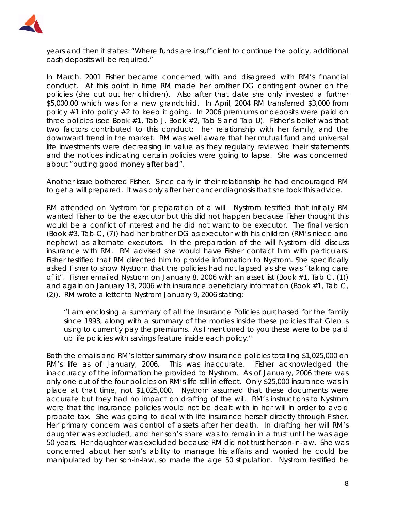

years and then it states: "Where funds are insufficient to continue the policy, additional cash deposits will be required."

In March, 2001 Fisher became concerned with and disagreed with RM's financial conduct. At this point in time RM made her brother DG contingent owner on the policies (she cut out her children). Also after that date she only invested a further \$5,000.00 which was for a new grandchild. In April, 2004 RM transferred \$3,000 from policy #1 into policy #2 to keep it going. In 2006 premiums or deposits were paid on three policies (see Book #1, Tab J, Book #2, Tab S and Tab U). Fisher's belief was that two factors contributed to this conduct: her relationship with her family, and the downward trend in the market. RM was well aware that her mutual fund and universal life investments were decreasing in value as they regularly reviewed their statements and the notices indicating certain policies were going to lapse. She was concerned about "putting good money after bad".

Another issue bothered Fisher. Since early in their relationship he had encouraged RM to get a will prepared. It was only after her cancer diagnosis that she took this advice.

RM attended on Nystrom for preparation of a will. Nystrom testified that initially RM wanted Fisher to be the executor but this did not happen because Fisher thought this would be a conflict of interest and he did not want to be executor. The final version (Book #3, Tab C, (7)) had her brother DG as executor with his children (RM's niece and nephew) as alternate executors. In the preparation of the will Nystrom did discuss insurance with RM. RM advised she would have Fisher contact him with particulars. Fisher testified that RM directed him to provide information to Nystrom. She specifically asked Fisher to show Nystrom that the policies had not lapsed as she was "taking care of it". Fisher emailed Nystrom on January 8, 2006 with an asset list (Book #1, Tab C, (1)) and again on January 13, 2006 with insurance beneficiary information (Book #1, Tab C, (2)). RM wrote a letter to Nystrom January 9, 2006 stating:

"I am enclosing a summary of all the Insurance Policies purchased for the family since 1993, along with a summary of the monies inside these policies that Glen is using to currently pay the premiums. As I mentioned to you these were to be paid up life policies with savings feature inside each policy."

Both the emails and RM's letter summary show insurance policies totalling \$1,025,000 on RM's life as of January, 2006. This was inaccurate. Fisher acknowledged the inaccuracy of the information he provided to Nystrom. As of January, 2006 there was only one out of the four policies on RM's life still in effect. Only \$25,000 insurance was in place at that time, not \$1,025,000. Nystrom assumed that these documents were accurate but they had no impact on drafting of the will. RM's instructions to Nystrom were that the insurance policies would not be dealt with in her will in order to avoid probate tax. She was going to deal with life insurance herself directly through Fisher. Her primary concern was control of assets after her death. In drafting her will RM's daughter was excluded, and her son's share was to remain in a trust until he was age 50 years. Her daughter was excluded because RM did not trust her son-in-law. She was concerned about her son's ability to manage his affairs and worried he could be manipulated by her son-in-law, so made the age 50 stipulation. Nystrom testified he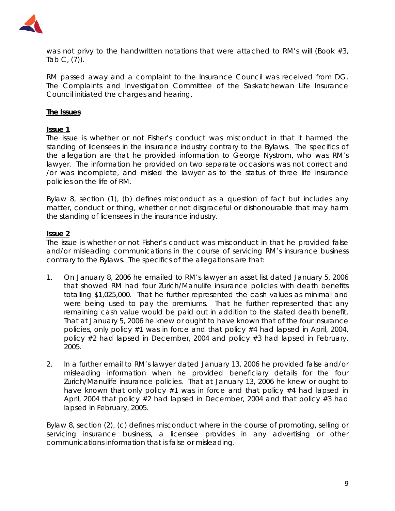

was not privy to the handwritten notations that were attached to RM's will (Book #3,  $Tab C, (7)$ ).

RM passed away and a complaint to the Insurance Council was received from DG. The Complaints and Investigation Committee of the Saskatchewan Life Insurance Council initiated the charges and hearing.

#### **The Issues**

#### **Issue 1**

The issue is whether or not Fisher's conduct was misconduct in that it harmed the standing of licensees in the insurance industry contrary to the Bylaws. The specifics of the allegation are that he provided information to George Nystrom, who was RM's lawyer. The information he provided on two separate occasions was not correct and /or was incomplete, and misled the lawyer as to the status of three life insurance policies on the life of RM.

Bylaw 8, section (1), (b) defines misconduct as a question of fact but includes any matter, conduct or thing, whether or not disgraceful or dishonourable that may harm the standing of licensees in the insurance industry.

#### **Issue 2**

The issue is whether or not Fisher's conduct was misconduct in that he provided false and/or misleading communications in the course of servicing RM's insurance business contrary to the Bylaws. The specifics of the allegations are that:

- 1. On January 8, 2006 he emailed to RM's lawyer an asset list dated January 5, 2006 that showed RM had four Zurich/Manulife insurance policies with death benefits totalling \$1,025,000. That he further represented the cash values as minimal and were being used to pay the premiums. That he further represented that any remaining cash value would be paid out in addition to the stated death benefit. That at January 5, 2006 he knew or ought to have known that of the four insurance policies, only policy #1 was in force and that policy #4 had lapsed in April, 2004, policy #2 had lapsed in December, 2004 and policy #3 had lapsed in February, 2005.
- 2. In a further email to RM's lawyer dated January 13, 2006 he provided false and/or misleading information when he provided beneficiary details for the four Zurich/Manulife insurance policies. That at January 13, 2006 he knew or ought to have known that only policy #1 was in force and that policy #4 had lapsed in April, 2004 that policy #2 had lapsed in December, 2004 and that policy #3 had lapsed in February, 2005.

Bylaw 8, section (2), (c) defines misconduct where in the course of promoting, selling or servicing insurance business, a licensee provides in any advertising or other communications information that is false or misleading.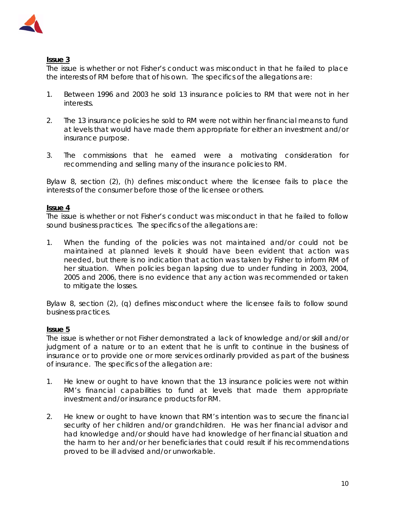

## **Issue 3**

The issue is whether or not Fisher's conduct was misconduct in that he failed to place the interests of RM before that of his own. The specifics of the allegations are:

- 1. Between 1996 and 2003 he sold 13 insurance policies to RM that were not in her interests.
- 2. The 13 insurance policies he sold to RM were not within her financial means to fund at levels that would have made them appropriate for either an investment and/or insurance purpose.
- 3. The commissions that he earned were a motivating consideration for recommending and selling many of the insurance policies to RM.

Bylaw 8, section (2), (h) defines misconduct where the licensee fails to place the interests of the consumer before those of the licensee or others.

## **Issue 4**

The issue is whether or not Fisher's conduct was misconduct in that he failed to follow sound business practices. The specifics of the allegations are:

1. When the funding of the policies was not maintained and/or could not be maintained at planned levels it should have been evident that action was needed, but there is no indication that action was taken by Fisher to inform RM of her situation. When policies began lapsing due to under funding in 2003, 2004, 2005 and 2006, there is no evidence that any action was recommended or taken to mitigate the losses.

Bylaw 8, section (2), (q) defines misconduct where the licensee fails to follow sound business practices.

## **Issue 5**

The issue is whether or not Fisher demonstrated a lack of knowledge and/or skill and/or judgment of a nature or to an extent that he is unfit to continue in the business of insurance or to provide one or more services ordinarily provided as part of the business of insurance. The specifics of the allegation are:

- 1. He knew or ought to have known that the 13 insurance policies were not within RM's financial capabilities to fund at levels that made them appropriate investment and/or insurance products for RM.
- 2. He knew or ought to have known that RM's intention was to secure the financial security of her children and/or grandchildren. He was her financial advisor and had knowledge and/or should have had knowledge of her financial situation and the harm to her and/or her beneficiaries that could result if his recommendations proved to be ill advised and/or unworkable.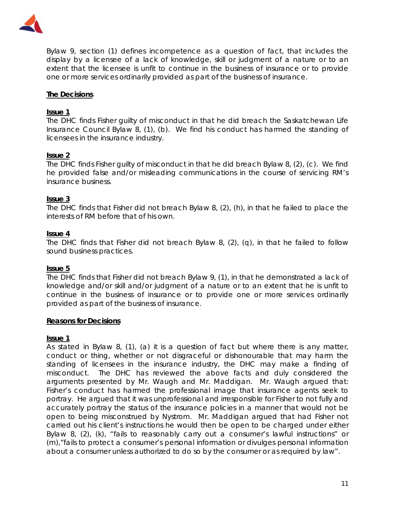

Bylaw 9, section (1) defines incompetence as a question of fact, that includes the display by a licensee of a lack of knowledge, skill or judgment of a nature or to an extent that the licensee is unfit to continue in the business of insurance or to provide one or more services ordinarily provided as part of the business of insurance.

## **The Decisions**

#### **Issue 1**

The DHC finds Fisher guilty of misconduct in that he did breach the Saskatchewan Life Insurance Council Bylaw 8, (1), (b). We find his conduct has harmed the standing of licensees in the insurance industry.

#### **Issue 2**

The DHC finds Fisher guilty of misconduct in that he did breach Bylaw 8, (2), (c). We find he provided false and/or misleading communications in the course of servicing RM's insurance business.

#### **Issue 3**

The DHC finds that Fisher did not breach Bylaw 8, (2), (h), in that he failed to place the interests of RM before that of his own.

#### **Issue 4**

The DHC finds that Fisher did not breach Bylaw 8, (2), (q), in that he failed to follow sound business practices.

#### **Issue 5**

The DHC finds that Fisher did not breach Bylaw 9, (1), in that he demonstrated a lack of knowledge and/or skill and/or judgment of a nature or to an extent that he is unfit to continue in the business of insurance or to provide one or more services ordinarily provided as part of the business of insurance.

#### **Reasons for Decisions**

#### **Issue 1**

As stated in Bylaw 8, (1), (a) it is a question of fact but where there is any matter, conduct or thing, whether or not disgraceful or dishonourable that may harm the standing of licensees in the insurance industry, the DHC may make a finding of misconduct. The DHC has reviewed the above facts and duly considered the arguments presented by Mr. Waugh and Mr. Maddigan. Mr. Waugh argued that: Fisher's conduct has harmed the professional image that insurance agents seek to portray. He argued that it was unprofessional and irresponsible for Fisher to not fully and accurately portray the status of the insurance policies in a manner that would not be open to being misconstrued by Nystrom. Mr. Maddigan argued that had Fisher not carried out his client's instructions he would then be open to be charged under either Bylaw 8, (2), (k), "fails to reasonably carry out a consumer's lawful instructions" or (m),"fails to protect a consumer's personal information or divulges personal information about a consumer unless authorized to do so by the consumer or as required by law".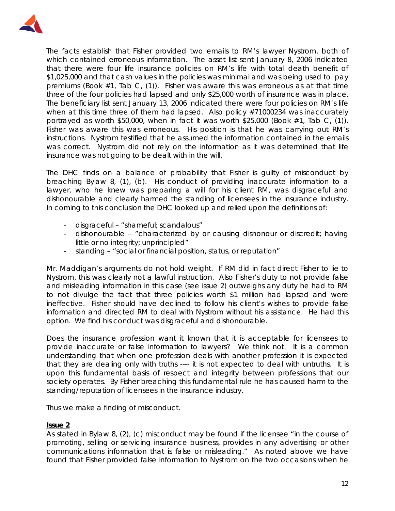

The facts establish that Fisher provided two emails to RM's lawyer Nystrom, both of which contained erroneous information. The asset list sent January 8, 2006 indicated that there were four life insurance policies on RM's life with total death benefit of \$1,025,000 and that cash values in the policies was minimal and was being used to pay premiums (Book #1, Tab C, (1)). Fisher was aware this was erroneous as at that time three of the four policies had lapsed and only \$25,000 worth of insurance was in place. The beneficiary list sent January 13, 2006 indicated there were four policies on RM's life when at this time three of them had lapsed. Also policy #71000234 was inaccurately portrayed as worth \$50,000, when in fact it was worth \$25,000 (Book #1, Tab C, (1)). Fisher was aware this was erroneous. His position is that he was carrying out RM's instructions. Nystrom testified that he assumed the information contained in the emails was correct. Nystrom did not rely on the information as it was determined that life insurance was not going to be dealt with in the will.

The DHC finds on a balance of probability that Fisher is guilty of misconduct by breaching Bylaw 8, (1), (b). His conduct of providing inaccurate information to a lawyer, who he knew was preparing a will for his client RM, was disgraceful and dishonourable and clearly harmed the standing of licensees in the insurance industry. In coming to this conclusion the DHC looked up and relied upon the definitions of:

- disgraceful "shameful; scandalous"
- dishonourable "characterized by or causing dishonour or discredit; having little or no integrity; unprincipled"
- standing "social or financial position, status, or reputation"

Mr. Maddigan's arguments do not hold weight. If RM did in fact direct Fisher to lie to Nystrom, this was clearly not a lawful instruction. Also Fisher's duty to not provide false and misleading information in this case (see issue 2) outweighs any duty he had to RM to not divulge the fact that three policies worth \$1 million had lapsed and were ineffective. Fisher should have declined to follow his client's wishes to provide false information and directed RM to deal with Nystrom without his assistance. He had this option. We find his conduct was disgraceful and dishonourable.

Does the insurance profession want it known that it is acceptable for licensees to provide inaccurate or false information to lawyers? We think not. It is a common understanding that when one profession deals with another profession it is expected that they are dealing only with truths ---- it is not expected to deal with untruths. It is upon this fundamental basis of respect and integrity between professions that our society operates. By Fisher breaching this fundamental rule he has caused harm to the standing/reputation of licensees in the insurance industry.

Thus we make a finding of misconduct.

#### **Issue 2**

As stated in Bylaw 8, (2), (c) misconduct may be found if the licensee "in the course of promoting, selling or servicing insurance business, provides in any advertising or other communications information that is false or misleading." As noted above we have found that Fisher provided false information to Nystrom on the two occasions when he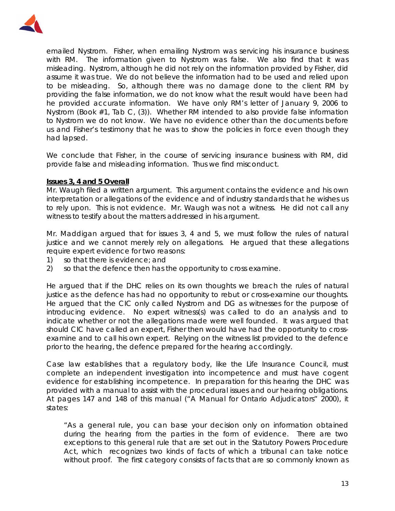

emailed Nystrom. Fisher, when emailing Nystrom was servicing his insurance business with RM. The information given to Nystrom was false. We also find that it was misleading. Nystrom, although he did not rely on the information provided by Fisher, did assume it was true. We do not believe the information had to be used and relied upon to be misleading. So, although there was no damage done to the client RM by providing the false information, we do not know what the result would have been had he provided accurate information. We have only RM's letter of January 9, 2006 to Nystrom (Book #1, Tab C, (3)). Whether RM intended to also provide false information to Nystrom we do not know. We have no evidence other than the documents before us and Fisher's testimony that he was to show the policies in force even though they had lapsed.

We conclude that Fisher, in the course of servicing insurance business with RM, did provide false and misleading information. Thus we find misconduct.

## **Issues 3, 4 and 5 Overall**

Mr. Waugh filed a written argument. This argument contains the evidence and his own interpretation or allegations of the evidence and of industry standards that he wishes us to rely upon. This is not evidence. Mr. Waugh was not a witness. He did not call any witness to testify about the matters addressed in his argument.

Mr. Maddigan argued that for issues 3, 4 and 5, we must follow the rules of natural justice and we cannot merely rely on allegations. He argued that these allegations require expert evidence for two reasons:

- 1) so that there is evidence; and
- 2) so that the defence then has the opportunity to cross examine.

He argued that if the DHC relies on its own thoughts we breach the rules of natural justice as the defence has had no opportunity to rebut or cross-examine our thoughts. He argued that the CIC only called Nystrom and DG as witnesses for the purpose of introducing evidence. No expert witness(s) was called to do an analysis and to indicate whether or not the allegations made were well founded. It was argued that should CIC have called an expert, Fisher then would have had the opportunity to crossexamine and to call his own expert. Relying on the witness list provided to the defence prior to the hearing, the defence prepared for the hearing accordingly.

Case law establishes that a regulatory body, like the Life Insurance Council, must complete an independent investigation into incompetence and must have cogent evidence for establishing incompetence. In preparation for this hearing the DHC was provided with a manual to assist with the procedural issues and our hearing obligations. At pages 147 and 148 of this manual ("A Manual for Ontario Adjudicators" 2000), it states:

"As a general rule, you can base your decision only on information obtained during the hearing from the parties in the form of evidence. There are two exceptions to this general rule that are set out in the *Statutory Powers Procedure Act*, which recognizes two kinds of facts of which a tribunal can take notice without proof. The first category consists of facts that are so commonly known as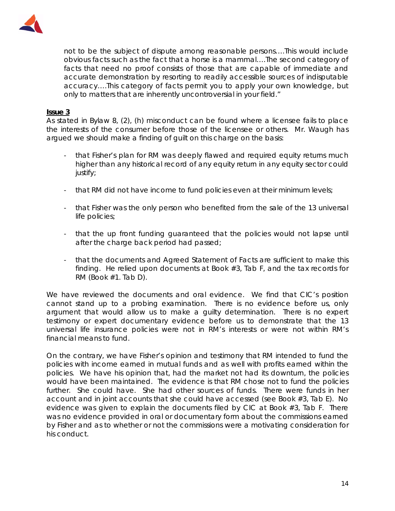

not to be the subject of dispute among reasonable persons….This would include obvious facts such as the fact that a horse is a mammal….The second category of facts that need no proof consists of those that are capable of immediate and accurate demonstration by resorting to readily accessible sources of indisputable accuracy….This category of facts permit you to apply your own knowledge, but only to matters that are inherently uncontroversial in your field."

#### **Issue 3**

As stated in Bylaw 8, (2), (h) misconduct can be found where a licensee fails to place the interests of the consumer before those of the licensee or others. Mr. Waugh has argued we should make a finding of guilt on this charge on the basis:

- that Fisher's plan for RM was deeply flawed and required equity returns much higher than any historical record of any equity return in any equity sector could justify;
- that RM did not have income to fund policies even at their minimum levels;
- that Fisher was the only person who benefited from the sale of the 13 universal life policies;
- that the up front funding guaranteed that the policies would not lapse until after the charge back period had passed;
- that the documents and Agreed Statement of Facts are sufficient to make this finding. He relied upon documents at Book #3, Tab F, and the tax records for RM (Book  $#1$ . Tab D).

We have reviewed the documents and oral evidence. We find that CIC's position cannot stand up to a probing examination. There is no evidence before us, only argument that would allow us to make a guilty determination. There is no expert testimony or expert documentary evidence before us to demonstrate that the 13 universal life insurance policies were not in RM's interests or were not within RM's financial means to fund.

On the contrary, we have Fisher's opinion and testimony that RM intended to fund the policies with income earned in mutual funds and as well with profits earned within the policies. We have his opinion that, had the market not had its downturn, the policies would have been maintained. The evidence is that RM chose not to fund the policies further. She could have. She had other sources of funds. There were funds in her account and in joint accounts that she could have accessed (see Book #3, Tab E). No evidence was given to explain the documents filed by CIC at Book #3, Tab F. There was no evidence provided in oral or documentary form about the commissions earned by Fisher and as to whether or not the commissions were a motivating consideration for his conduct.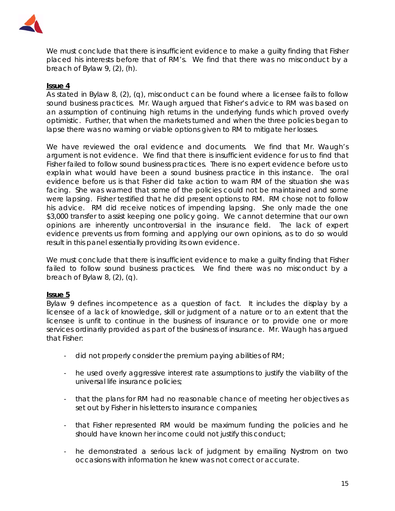

We must conclude that there is insufficient evidence to make a guilty finding that Fisher placed his interests before that of RM's. We find that there was no misconduct by a breach of Bylaw 9, (2), (h).

#### **Issue 4**

As stated in Bylaw 8, (2), (q), misconduct can be found where a licensee fails to follow sound business practices. Mr. Waugh argued that Fisher's advice to RM was based on an assumption of continuing high returns in the underlying funds which proved overly optimistic. Further, that when the markets turned and when the three policies began to lapse there was no warning or viable options given to RM to mitigate her losses.

We have reviewed the oral evidence and documents. We find that Mr. Waugh's argument is not evidence. We find that there is insufficient evidence for us to find that Fisher failed to follow sound business practices. There is no expert evidence before us to explain what would have been a sound business practice in this instance. The oral evidence before us is that Fisher did take action to warn RM of the situation she was facing. She was warned that some of the policies could not be maintained and some were lapsing. Fisher testified that he did present options to RM. RM chose not to follow his advice. RM did receive notices of impending lapsing. She only made the one \$3,000 transfer to assist keeping one policy going. We cannot determine that our own opinions are inherently uncontroversial in the insurance field. The lack of expert evidence prevents us from forming and applying our own opinions, as to do so would result in this panel essentially providing its own evidence.

We must conclude that there is insufficient evidence to make a guilty finding that Fisher failed to follow sound business practices. We find there was no misconduct by a breach of Bylaw 8, (2), (q).

#### **Issue 5**

Bylaw 9 defines incompetence as a question of fact. It includes the display by a licensee of a lack of knowledge, skill or judgment of a nature or to an extent that the licensee is unfit to continue in the business of insurance or to provide one or more services ordinarily provided as part of the business of insurance. Mr. Waugh has argued that Fisher:

- did not properly consider the premium paying abilities of RM;
- he used overly aggressive interest rate assumptions to justify the viability of the universal life insurance policies;
- that the plans for RM had no reasonable chance of meeting her objectives as set out by Fisher in his letters to insurance companies;
- that Fisher represented RM would be maximum funding the policies and he should have known her income could not justify this conduct;
- he demonstrated a serious lack of judgment by emailing Nystrom on two occasions with information he knew was not correct or accurate.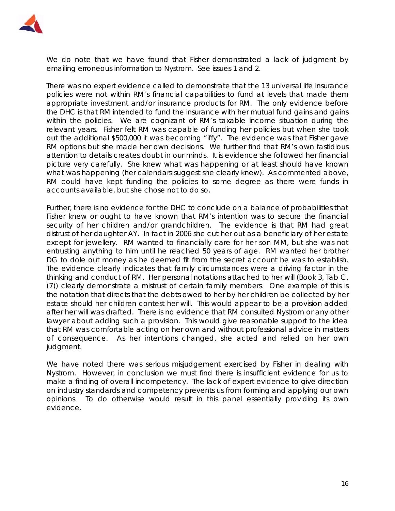

We do note that we have found that Fisher demonstrated a lack of judgment by emailing erroneous information to Nystrom. See issues 1 and 2.

There was no expert evidence called to demonstrate that the 13 universal life insurance policies were not within RM's financial capabilities to fund at levels that made them appropriate investment and/or insurance products for RM. The only evidence before the DHC is that RM intended to fund the insurance with her mutual fund gains and gains within the policies. We are cognizant of RM's taxable income situation during the relevant years. Fisher felt RM was capable of funding her policies but when she took out the additional \$500,000 it was becoming "iffy". The evidence was that Fisher gave RM options but she made her own decisions. We further find that RM's own fastidious attention to details creates doubt in our minds. It is evidence she followed her financial picture very carefully. She knew what was happening or at least should have known what was happening (her calendars suggest she clearly knew). As commented above, RM could have kept funding the policies to some degree as there were funds in accounts available, but she chose not to do so.

Further, there is no evidence for the DHC to conclude on a balance of probabilities that Fisher knew or ought to have known that RM's intention was to secure the financial security of her children and/or grandchildren. The evidence is that RM had great distrust of her daughter AY. In fact in 2006 she cut her out as a beneficiary of her estate except for jewellery. RM wanted to financially care for her son MM, but she was not entrusting anything to him until he reached 50 years of age. RM wanted her brother DG to dole out money as he deemed fit from the secret account he was to establish. The evidence clearly indicates that family circumstances were a driving factor in the thinking and conduct of RM. Her personal notations attached to her will (Book 3, Tab C, (7)) clearly demonstrate a mistrust of certain family members. One example of this is the notation that directs that the debts owed to her by her children be collected by her estate should her children contest her will. This would appear to be a provision added after her will was drafted. There is no evidence that RM consulted Nystrom or any other lawyer about adding such a provision. This would give reasonable support to the idea that RM was comfortable acting on her own and without professional advice in matters of consequence. As her intentions changed, she acted and relied on her own judgment.

We have noted there was serious misjudgement exercised by Fisher in dealing with Nystrom. However, in conclusion we must find there is insufficient evidence for us to make a finding of overall incompetency. The lack of expert evidence to give direction on industry standards and competency prevents us from forming and applying our own opinions. To do otherwise would result in this panel essentially providing its own evidence.